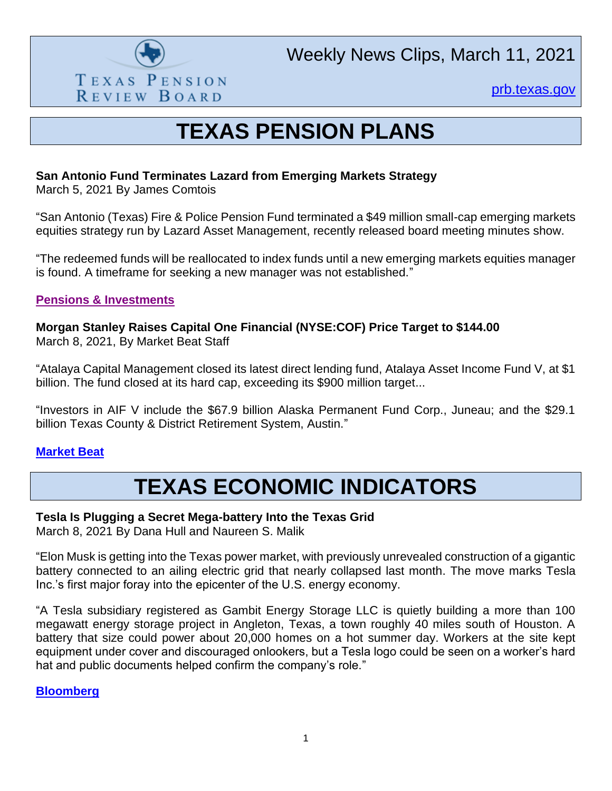

[prb.texas.gov](http://www.prb.texas.gov/)

## **TEXAS PENSION PLANS**

## **San Antonio Fund Terminates Lazard from Emerging Markets Strategy**

March 5, 2021 By James Comtois

"San Antonio (Texas) Fire & Police Pension Fund terminated a \$49 million small-cap emerging markets equities strategy run by Lazard Asset Management, recently released board meeting minutes show.

"The redeemed funds will be reallocated to index funds until a new emerging markets equities manager is found. A timeframe for seeking a new manager was not established."

### **[Pensions & Investments](https://www.pionline.com/pension-funds/san-antonio-fund-terminates-lazard-emerging-markets-strategy)**

**Morgan Stanley Raises Capital One Financial (NYSE:COF) Price Target to \$144.00** March 8, 2021, By Market Beat Staff

"Atalaya Capital Management closed its latest direct lending fund, Atalaya Asset Income Fund V, at \$1 billion. The fund closed at its hard cap, exceeding its \$900 million target...

"Investors in AIF V include the \$67.9 billion Alaska Permanent Fund Corp., Juneau; and the \$29.1 billion Texas County & District Retirement System, Austin."

### **[Market Beat](https://www.marketbeat.com/instant-alerts/nyse-cof-a-buy-or-sell-right-now-2021-03/)**

## **TEXAS ECONOMIC INDICATORS**

### **Tesla Is Plugging a Secret Mega-battery Into the Texas Grid**

March 8, 2021 By Dana Hull and Naureen S. Malik

"Elon Musk is getting into the Texas power market, with previously unrevealed construction of a gigantic battery connected to an ailing electric grid that nearly collapsed last month. The move marks Tesla Inc.'s first major foray into the epicenter of the U.S. energy economy.

"A Tesla subsidiary registered as Gambit Energy Storage LLC is quietly building a more than 100 megawatt energy storage project in Angleton, Texas, a town roughly 40 miles south of Houston. A battery that size could power about 20,000 homes on a hot summer day. Workers at the site kept equipment under cover and discouraged onlookers, but a Tesla logo could be seen on a worker's hard hat and public documents helped confirm the company's role."

### **[Bloomberg](https://www.bloomberg.com/news/features/2021-03-08/tesla-is-plugging-a-secret-mega-battery-into-the-texas-grid?utm_campaign=socialflow-organic&utm_content=business&utm_medium=social&utm_source=facebook&cmpid=socialflow-facebook-business)**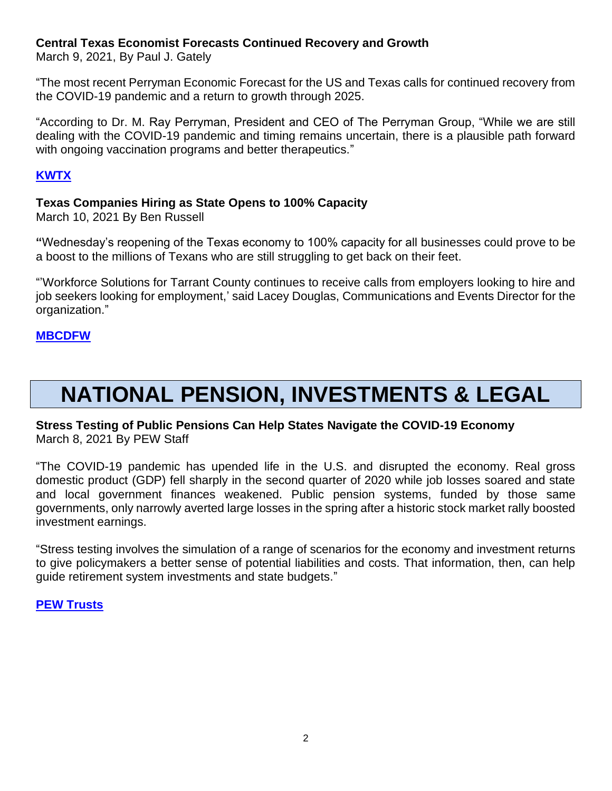## **Central Texas Economist Forecasts Continued Recovery and Growth**

March 9, 2021, By Paul J. Gately

"The most recent Perryman Economic Forecast for the US and Texas calls for continued recovery from the COVID-19 pandemic and a return to growth through 2025.

"According to Dr. M. Ray Perryman, President and CEO of The Perryman Group, "While we are still dealing with the COVID-19 pandemic and timing remains uncertain, there is a plausible path forward with ongoing vaccination programs and better therapeutics."

## **[KWTX](https://www.kwtx.com/2021/03/10/central-texas-economist-forecasts-continued-recovery-and-growth/)**

## **Texas Companies Hiring as State Opens to 100% Capacity**

March 10, 2021 By Ben Russell

**"**Wednesday's reopening of the Texas economy to 100% capacity for all businesses could prove to be a boost to the millions of Texans who are still struggling to get back on their feet.

"'Workforce Solutions for Tarrant County continues to receive calls from employers looking to hire and job seekers looking for employment,' said Lacey Douglas, Communications and Events Director for the organization."

## **[MBCDFW](https://www.nbcdfw.com/news/coronavirus/texas-companies-hiring-as-state-opens-to-100-capacity/2575223/)**

# **NATIONAL PENSION, INVESTMENTS & LEGAL**

## **Stress Testing of Public Pensions Can Help States Navigate the COVID-19 Economy** March 8, 2021 By PEW Staff

"The COVID-19 pandemic has upended life in the U.S. and disrupted the economy. Real gross domestic product (GDP) fell sharply in the second quarter of 2020 while job losses soared and state and local government finances weakened. Public pension systems, funded by those same governments, only narrowly averted large losses in the spring after a historic stock market rally boosted investment earnings.

"Stress testing involves the simulation of a range of scenarios for the economy and investment returns to give policymakers a better sense of potential liabilities and costs. That information, then, can help guide retirement system investments and state budgets."

### **[PEW Trusts](https://www.pewtrusts.org/en/research-and-analysis/issue-briefs/2021/03/stress-testing-of-public-pensions-can-help-states-navigate-the-covid-19-economy)**